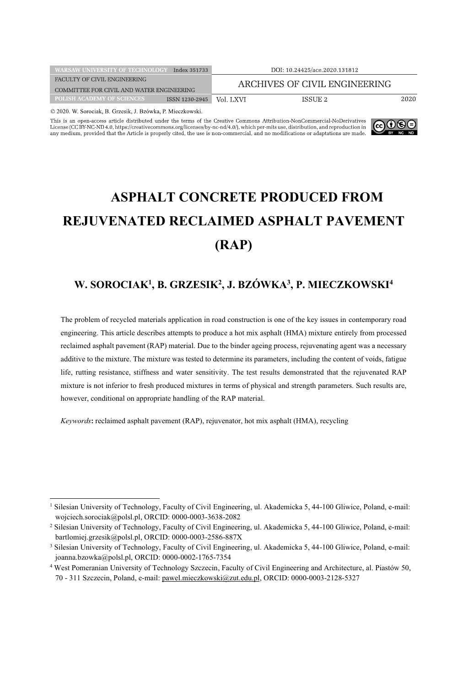| <b>WARSAW UNIVERSITY OF TECHNOLOGY</b><br>Index 351733 |                | DOI: 10.24425/ace.2020.131812 |          |      |
|--------------------------------------------------------|----------------|-------------------------------|----------|------|
| FACULTY OF CIVIL ENGINEERING                           |                | ARCHIVES OF CIVIL ENGINEERING |          |      |
| COMMITTEE FOR CIVIL AND WATER ENGINEERING              |                |                               |          |      |
| <b>POLISH ACADEMY OF SCIENCES</b>                      | ISSN 1230-2945 | Vol. LXVI                     | ISSUE 2. | 2020 |
| @ 2020 W Sorocial: B Grzecik J Bzówka P Mieczkowski    |                |                               |          |      |

This is an open-access article distributed under the terms of the Creative Commons Attribution-NonCommercial-NoDerivatives License (CC BY-NC-ND 4.0, https://creativecommons.org/licenses/by-nc-nd/4.0/), which per-mits use, distribution, and reproduction in any medium, provided that the Article is properly cited, the use is non-commercial, and n



# **ASPHALT CONCRETE PRODUCED FROM REJUVENATED RECLAIMED ASPHALT PAVEMENT (RAP)**

# **W. SOROCIAK1 , B. GRZESIK2 , J. BZÓWKA3 , P. MIECZKOWSKI4**

The problem of recycled materials application in road construction is one of the key issues in contemporary road engineering. This article describes attempts to produce a hot mix asphalt (HMA) mixture entirely from processed reclaimed asphalt pavement (RAP) material. Due to the binder ageing process, rejuvenating agent was a necessary additive to the mixture. The mixture was tested to determine its parameters, including the content of voids, fatigue life, rutting resistance, stiffness and water sensitivity. The test results demonstrated that the rejuvenated RAP mixture is not inferior to fresh produced mixtures in terms of physical and strength parameters. Such results are, however, conditional on appropriate handling of the RAP material.

*Keywords***:** reclaimed asphalt pavement (RAP), rejuvenator, hot mix asphalt (HMA), recycling

<sup>&</sup>lt;sup>1</sup> Silesian University of Technology, Faculty of Civil Engineering, ul. Akademicka 5, 44-100 Gliwice, Poland, e-mail: wojciech.sorociak@polsl.pl, ORCID: 0000-0003-3638-2082

<sup>2</sup> Silesian University of Technology, Faculty of Civil Engineering, ul. Akademicka 5, 44-100 Gliwice, Poland, e-mail: bartlomiej.grzesik@polsl.pl, ORCID: 0000-0003-2586-887X

<sup>&</sup>lt;sup>3</sup> Silesian University of Technology, Faculty of Civil Engineering, ul. Akademicka 5, 44-100 Gliwice, Poland, e-mail: joanna.bzowka@polsl.pl, ORCID: 0000-0002-1765-7354

<sup>4</sup> West Pomeranian University of Technology Szczecin, Faculty of Civil Engineering and Architecture, al. Piastów 50, 70 - 311 Szczecin, Poland, e-mail: pawel.mieczkowski@zut.edu.pl, ORCID: 0000-0003-2128-5327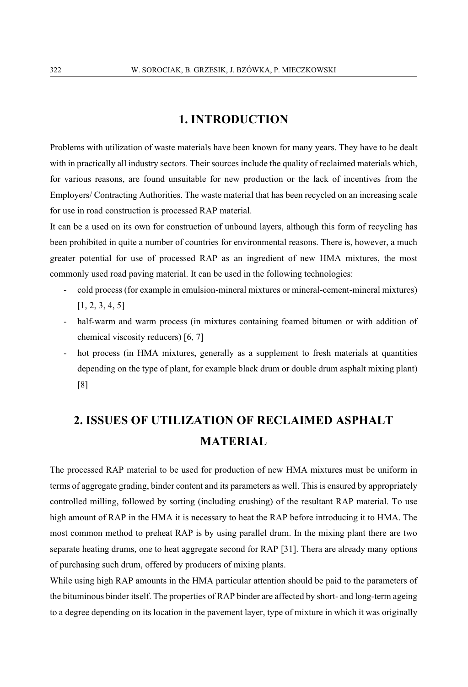# **1. INTRODUCTION**

Problems with utilization of waste materials have been known for many years. They have to be dealt with in practically all industry sectors. Their sources include the quality of reclaimed materials which, for various reasons, are found unsuitable for new production or the lack of incentives from the Employers/ Contracting Authorities. The waste material that has been recycled on an increasing scale for use in road construction is processed RAP material.

It can be a used on its own for construction of unbound layers, although this form of recycling has been prohibited in quite a number of countries for environmental reasons. There is, however, a much greater potential for use of processed RAP as an ingredient of new HMA mixtures, the most commonly used road paving material. It can be used in the following technologies:

- cold process (for example in emulsion-mineral mixtures or mineral-cement-mineral mixtures) [1, 2, 3, 4, 5]
- half-warm and warm process (in mixtures containing foamed bitumen or with addition of chemical viscosity reducers) [6, 7]
- hot process (in HMA mixtures, generally as a supplement to fresh materials at quantities depending on the type of plant, for example black drum or double drum asphalt mixing plant) [8]

# **2. ISSUES OF UTILIZATION OF RECLAIMED ASPHALT MATERIAL**

The processed RAP material to be used for production of new HMA mixtures must be uniform in terms of aggregate grading, binder content and its parameters as well. This is ensured by appropriately controlled milling, followed by sorting (including crushing) of the resultant RAP material. To use high amount of RAP in the HMA it is necessary to heat the RAP before introducing it to HMA. The most common method to preheat RAP is by using parallel drum. In the mixing plant there are two separate heating drums, one to heat aggregate second for RAP [31]. Thera are already many options of purchasing such drum, offered by producers of mixing plants.

While using high RAP amounts in the HMA particular attention should be paid to the parameters of the bituminous binder itself. The properties of RAP binder are affected by short- and long-term ageing to a degree depending on its location in the pavement layer, type of mixture in which it was originally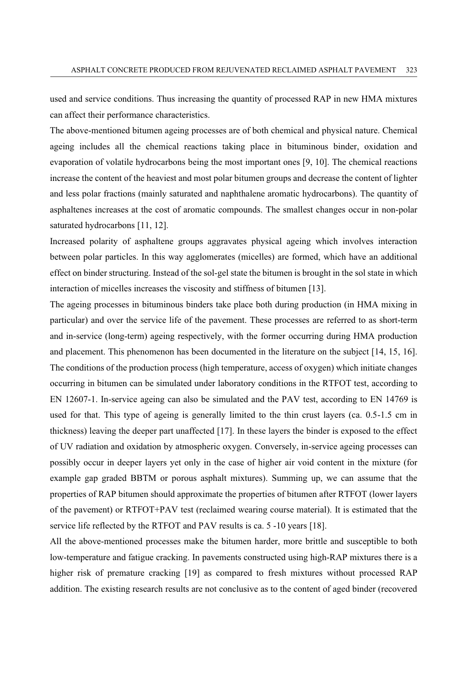used and service conditions. Thus increasing the quantity of processed RAP in new HMA mixtures can affect their performance characteristics.

The above-mentioned bitumen ageing processes are of both chemical and physical nature. Chemical ageing includes all the chemical reactions taking place in bituminous binder, oxidation and evaporation of volatile hydrocarbons being the most important ones [9, 10]. The chemical reactions increase the content of the heaviest and most polar bitumen groups and decrease the content of lighter and less polar fractions (mainly saturated and naphthalene aromatic hydrocarbons). The quantity of asphaltenes increases at the cost of aromatic compounds. The smallest changes occur in non-polar saturated hydrocarbons [11, 12].

Increased polarity of asphaltene groups aggravates physical ageing which involves interaction between polar particles. In this way agglomerates (micelles) are formed, which have an additional effect on binder structuring. Instead of the sol-gel state the bitumen is brought in the sol state in which interaction of micelles increases the viscosity and stiffness of bitumen [13].

The ageing processes in bituminous binders take place both during production (in HMA mixing in particular) and over the service life of the pavement. These processes are referred to as short-term and in-service (long-term) ageing respectively, with the former occurring during HMA production and placement. This phenomenon has been documented in the literature on the subject [14, 15, 16]. The conditions of the production process (high temperature, access of oxygen) which initiate changes occurring in bitumen can be simulated under laboratory conditions in the RTFOT test, according to EN 12607-1. In-service ageing can also be simulated and the PAV test, according to EN 14769 is used for that. This type of ageing is generally limited to the thin crust layers (ca. 0.5-1.5 cm in thickness) leaving the deeper part unaffected [17]. In these layers the binder is exposed to the effect of UV radiation and oxidation by atmospheric oxygen. Conversely, in-service ageing processes can possibly occur in deeper layers yet only in the case of higher air void content in the mixture (for example gap graded BBTM or porous asphalt mixtures). Summing up, we can assume that the properties of RAP bitumen should approximate the properties of bitumen after RTFOT (lower layers of the pavement) or RTFOT+PAV test (reclaimed wearing course material). It is estimated that the service life reflected by the RTFOT and PAV results is ca. 5 -10 years [18].

All the above-mentioned processes make the bitumen harder, more brittle and susceptible to both low-temperature and fatigue cracking. In pavements constructed using high-RAP mixtures there is a higher risk of premature cracking [19] as compared to fresh mixtures without processed RAP addition. The existing research results are not conclusive as to the content of aged binder (recovered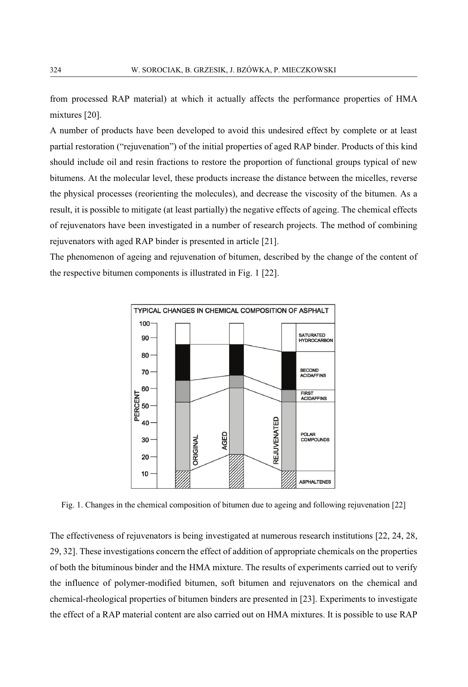from processed RAP material) at which it actually affects the performance properties of HMA mixtures [20].

A number of products have been developed to avoid this undesired effect by complete or at least partial restoration ("rejuvenation") of the initial properties of aged RAP binder. Products of this kind should include oil and resin fractions to restore the proportion of functional groups typical of new bitumens. At the molecular level, these products increase the distance between the micelles, reverse the physical processes (reorienting the molecules), and decrease the viscosity of the bitumen. As a result, it is possible to mitigate (at least partially) the negative effects of ageing. The chemical effects of rejuvenators have been investigated in a number of research projects. The method of combining rejuvenators with aged RAP binder is presented in article [21].

The phenomenon of ageing and rejuvenation of bitumen, described by the change of the content of the respective bitumen components is illustrated in Fig. 1 [22].



Fig. 1. Changes in the chemical composition of bitumen due to ageing and following rejuvenation [22]

The effectiveness of rejuvenators is being investigated at numerous research institutions [22, 24, 28, 29, 32]. These investigations concern the effect of addition of appropriate chemicals on the properties of both the bituminous binder and the HMA mixture. The results of experiments carried out to verify the influence of polymer-modified bitumen, soft bitumen and rejuvenators on the chemical and chemical-rheological properties of bitumen binders are presented in [23]. Experiments to investigate the effect of a RAP material content are also carried out on HMA mixtures. It is possible to use RAP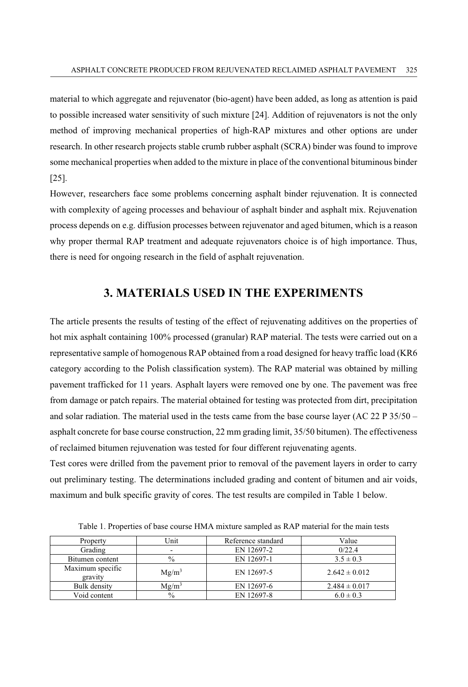material to which aggregate and rejuvenator (bio-agent) have been added, as long as attention is paid to possible increased water sensitivity of such mixture [24]. Addition of rejuvenators is not the only method of improving mechanical properties of high-RAP mixtures and other options are under research. In other research projects stable crumb rubber asphalt (SCRA) binder was found to improve some mechanical properties when added to the mixture in place of the conventional bituminous binder [25].

However, researchers face some problems concerning asphalt binder rejuvenation. It is connected with complexity of ageing processes and behaviour of asphalt binder and asphalt mix. Rejuvenation process depends on e.g. diffusion processes between rejuvenator and aged bitumen, which is a reason why proper thermal RAP treatment and adequate rejuvenators choice is of high importance. Thus, there is need for ongoing research in the field of asphalt rejuvenation.

# **3. MATERIALS USED IN THE EXPERIMENTS**

The article presents the results of testing of the effect of rejuvenating additives on the properties of hot mix asphalt containing 100% processed (granular) RAP material. The tests were carried out on a representative sample of homogenous RAP obtained from a road designed for heavy traffic load (KR6 category according to the Polish classification system). The RAP material was obtained by milling pavement trafficked for 11 years. Asphalt layers were removed one by one. The pavement was free from damage or patch repairs. The material obtained for testing was protected from dirt, precipitation and solar radiation. The material used in the tests came from the base course layer (AC 22 P 35/50 – asphalt concrete for base course construction, 22 mm grading limit, 35/50 bitumen). The effectiveness of reclaimed bitumen rejuvenation was tested for four different rejuvenating agents.

Test cores were drilled from the pavement prior to removal of the pavement layers in order to carry out preliminary testing. The determinations included grading and content of bitumen and air voids, maximum and bulk specific gravity of cores. The test results are compiled in Table 1 below.

| Property                    | Unit          | Reference standard | Value             |  |
|-----------------------------|---------------|--------------------|-------------------|--|
| Grading                     |               | EN 12697-2         | 0/22.4            |  |
| Bitumen content             | $\%$          | EN 12697-1         | $3.5 \pm 0.3$     |  |
| Maximum specific<br>gravity | $Mg/m^3$      | EN 12697-5         | $2.642 \pm 0.012$ |  |
| Bulk density                | $Mg/m^3$      | EN 12697-6         | $2.484 \pm 0.017$ |  |
| Void content                | $\frac{0}{0}$ | EN 12697-8         | $6.0 \pm 0.3$     |  |

Table 1. Properties of base course HMA mixture sampled as RAP material for the main tests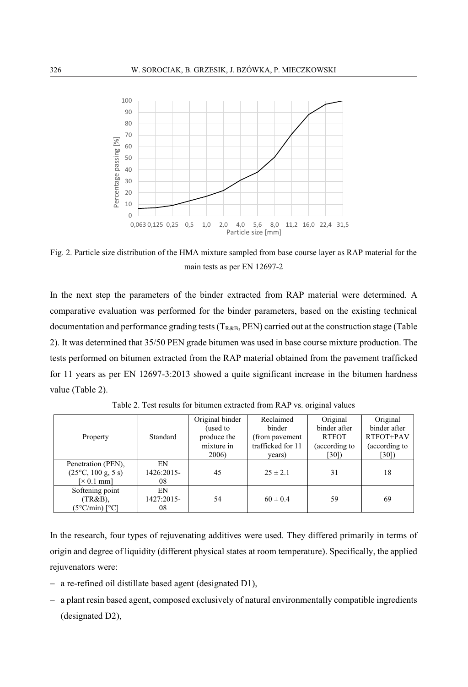

Fig. 2. Particle size distribution of the HMA mixture sampled from base course layer as RAP material for the main tests as per EN 12697-2

In the next step the parameters of the binder extracted from RAP material were determined. A comparative evaluation was performed for the binder parameters, based on the existing technical documentation and performance grading tests  $(T_{R&B}, PEN)$  carried out at the construction stage (Table 2). It was determined that 35/50 PEN grade bitumen was used in base course mixture production. The tests performed on bitumen extracted from the RAP material obtained from the pavement trafficked for 11 years as per EN 12697-3:2013 showed a quite significant increase in the bitumen hardness value (Table 2).

|                                             |            | Original binder | Reclaimed         | Original      | Original      |
|---------------------------------------------|------------|-----------------|-------------------|---------------|---------------|
|                                             |            | (used to        | binder            | binder after  | binder after  |
| Property                                    | Standard   | produce the     | (from pavement)   | <b>RTFOT</b>  | RTFOT+PAV     |
|                                             |            | mixture in      | trafficked for 11 | (according to | (according to |
|                                             |            | 2006)           | years)            | [30]          | [30]          |
| Penetration (PEN),                          | EN         |                 |                   |               |               |
| $(25^{\circ}C, 100 \text{ g}, 5 \text{ s})$ | 1426:2015- | 45              | $25 \pm 2.1$      | 31            | 18            |
| $\approx 0.1$ mml                           | 08         |                 |                   |               |               |
| Softening point                             | EN         |                 |                   |               |               |
| $(TR&B)$ ,                                  | 1427:2015- | 54              | $60 \pm 0.4$      | 59            | 69            |
| $(5^{\circ}C/min)$ [ $^{\circ}C$ ]          | 08         |                 |                   |               |               |

Table 2. Test results for bitumen extracted from RAP vs. original values

In the research, four types of rejuvenating additives were used. They differed primarily in terms of origin and degree of liquidity (different physical states at room temperature). Specifically, the applied rejuvenators were:

- a re-refined oil distillate based agent (designated D1),
- a plant resin based agent, composed exclusively of natural environmentally compatible ingredients (designated D2),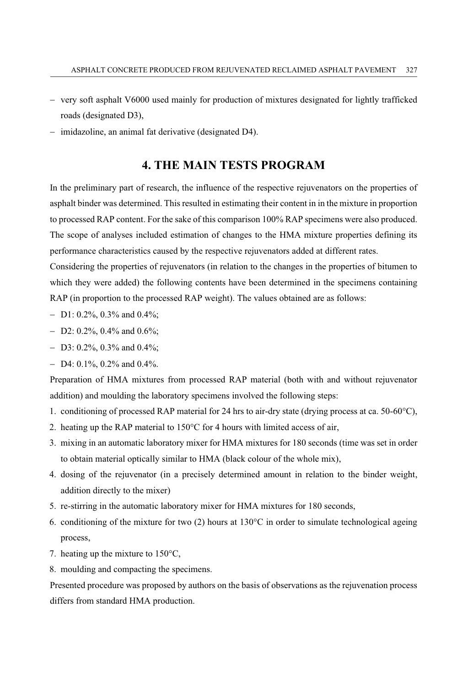- very soft asphalt V6000 used mainly for production of mixtures designated for lightly trafficked roads (designated D3),
- imidazoline, an animal fat derivative (designated D4).

# **4. THE MAIN TESTS PROGRAM**

In the preliminary part of research, the influence of the respective rejuvenators on the properties of asphalt binder was determined. This resulted in estimating their content in in the mixture in proportion to processed RAP content. For the sake of this comparison 100% RAP specimens were also produced. The scope of analyses included estimation of changes to the HMA mixture properties defining its performance characteristics caused by the respective rejuvenators added at different rates.

Considering the properties of rejuvenators (in relation to the changes in the properties of bitumen to which they were added) the following contents have been determined in the specimens containing RAP (in proportion to the processed RAP weight). The values obtained are as follows:

- D1: 0.2%, 0.3% and 0.4%;
- $-$  D2: 0.2%, 0.4% and 0.6%;
- D3: 0.2%, 0.3% and 0.4%;
- $-$  D4: 0.1%, 0.2% and 0.4%.

Preparation of HMA mixtures from processed RAP material (both with and without rejuvenator addition) and moulding the laboratory specimens involved the following steps:

- 1. conditioning of processed RAP material for 24 hrs to air-dry state (drying process at ca. 50-60°C),
- 2. heating up the RAP material to 150°C for 4 hours with limited access of air,
- 3. mixing in an automatic laboratory mixer for HMA mixtures for 180 seconds (time was set in order to obtain material optically similar to HMA (black colour of the whole mix),
- 4. dosing of the rejuvenator (in a precisely determined amount in relation to the binder weight, addition directly to the mixer)
- 5. re-stirring in the automatic laboratory mixer for HMA mixtures for 180 seconds,
- 6. conditioning of the mixture for two (2) hours at 130°C in order to simulate technological ageing process,
- 7. heating up the mixture to 150°C,
- 8. moulding and compacting the specimens.

Presented procedure was proposed by authors on the basis of observations as the rejuvenation process differs from standard HMA production.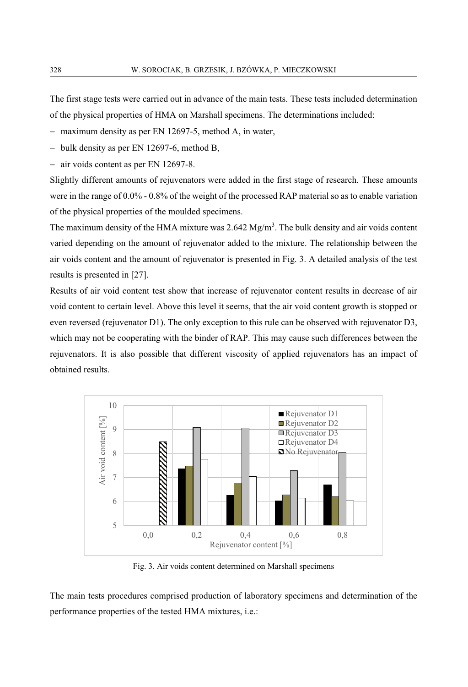The first stage tests were carried out in advance of the main tests. These tests included determination of the physical properties of HMA on Marshall specimens. The determinations included:

- maximum density as per EN 12697-5, method A, in water,

- bulk density as per EN 12697-6, method B,

- air voids content as per EN 12697-8.

Slightly different amounts of rejuvenators were added in the first stage of research. These amounts were in the range of 0.0% - 0.8% of the weight of the processed RAP material so as to enable variation of the physical properties of the moulded specimens.

The maximum density of the HMA mixture was  $2.642 \text{ Mg/m}^3$ . The bulk density and air voids content varied depending on the amount of rejuvenator added to the mixture. The relationship between the air voids content and the amount of rejuvenator is presented in Fig. 3. A detailed analysis of the test results is presented in [27].

Results of air void content test show that increase of rejuvenator content results in decrease of air void content to certain level. Above this level it seems, that the air void content growth is stopped or even reversed (rejuvenator D1). The only exception to this rule can be observed with rejuvenator D3, which may not be cooperating with the binder of RAP. This may cause such differences between the rejuvenators. It is also possible that different viscosity of applied rejuvenators has an impact of obtained results.



Fig. 3. Air voids content determined on Marshall specimens

The main tests procedures comprised production of laboratory specimens and determination of the performance properties of the tested HMA mixtures, i.e.: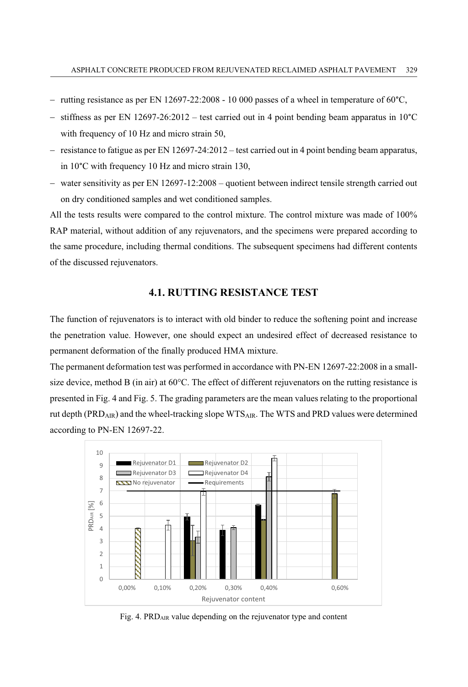- rutting resistance as per EN 12697-22:2008 10 000 passes of a wheel in temperature of 60°C,
- stiffness as per EN  $12697-26:2012$  – test carried out in 4 point bending beam apparatus in  $10^{\circ}$ C with frequency of 10 Hz and micro strain 50,
- resistance to fatigue as per EN 12697-24:2012 test carried out in 4 point bending beam apparatus, in 10°C with frequency 10 Hz and micro strain 130,
- water sensitivity as per EN 12697-12:2008 quotient between indirect tensile strength carried out on dry conditioned samples and wet conditioned samples.

All the tests results were compared to the control mixture. The control mixture was made of 100% RAP material, without addition of any rejuvenators, and the specimens were prepared according to the same procedure, including thermal conditions. The subsequent specimens had different contents of the discussed rejuvenators.

### **4.1. RUTTING RESISTANCE TEST**

The function of rejuvenators is to interact with old binder to reduce the softening point and increase the penetration value. However, one should expect an undesired effect of decreased resistance to permanent deformation of the finally produced HMA mixture.

The permanent deformation test was performed in accordance with PN-EN 12697-22:2008 in a smallsize device, method B (in air) at 60°C. The effect of different rejuvenators on the rutting resistance is presented in Fig. 4 and Fig. 5. The grading parameters are the mean values relating to the proportional rut depth (PRD<sub>AIR</sub>) and the wheel-tracking slope WTS<sub>AIR</sub>. The WTS and PRD values were determined according to PN-EN 12697-22.



Fig. 4. PRDAIR value depending on the rejuvenator type and content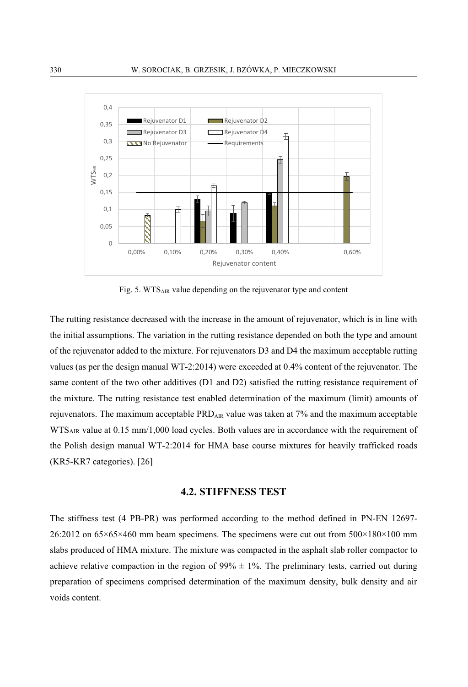

Fig. 5. WTS<sub>AIR</sub> value depending on the rejuvenator type and content

The rutting resistance decreased with the increase in the amount of rejuvenator, which is in line with the initial assumptions. The variation in the rutting resistance depended on both the type and amount of the rejuvenator added to the mixture. For rejuvenators D3 and D4 the maximum acceptable rutting values (as per the design manual WT-2:2014) were exceeded at 0.4% content of the rejuvenator. The same content of the two other additives (D1 and D2) satisfied the rutting resistance requirement of the mixture. The rutting resistance test enabled determination of the maximum (limit) amounts of rejuvenators. The maximum acceptable  $\text{PRD}_{\text{AR}}$  value was taken at 7% and the maximum acceptable WTS<sub>AIR</sub> value at 0.15 mm/1,000 load cycles. Both values are in accordance with the requirement of the Polish design manual WT-2:2014 for HMA base course mixtures for heavily trafficked roads (KR5-KR7 categories). [26]

#### **4.2. STIFFNESS TEST**

The stiffness test (4 PB-PR) was performed according to the method defined in PN-EN 12697- 26:2012 on 65×65×460 mm beam specimens. The specimens were cut out from 500×180×100 mm slabs produced of HMA mixture. The mixture was compacted in the asphalt slab roller compactor to achieve relative compaction in the region of  $99\% \pm 1\%$ . The preliminary tests, carried out during preparation of specimens comprised determination of the maximum density, bulk density and air voids content.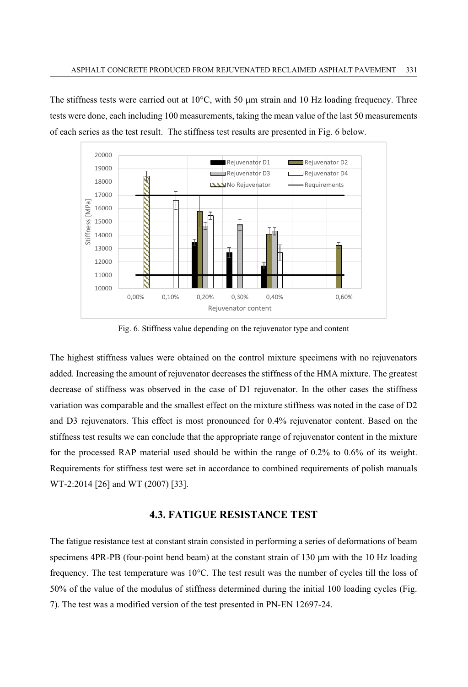The stiffness tests were carried out at 10 $\degree$ C, with 50  $\mu$ m strain and 10 Hz loading frequency. Three tests were done, each including 100 measurements, taking the mean value of the last 50 measurements of each series as the test result. The stiffness test results are presented in Fig. 6 below.



Fig. 6. Stiffness value depending on the rejuvenator type and content

The highest stiffness values were obtained on the control mixture specimens with no rejuvenators added. Increasing the amount of rejuvenator decreases the stiffness of the HMA mixture. The greatest decrease of stiffness was observed in the case of D1 rejuvenator. In the other cases the stiffness variation was comparable and the smallest effect on the mixture stiffness was noted in the case of D2 and D3 rejuvenators. This effect is most pronounced for 0.4% rejuvenator content. Based on the stiffness test results we can conclude that the appropriate range of rejuvenator content in the mixture for the processed RAP material used should be within the range of 0.2% to 0.6% of its weight. Requirements for stiffness test were set in accordance to combined requirements of polish manuals WT-2:2014 [26] and WT (2007) [33].

#### **4.3. FATIGUE RESISTANCE TEST**

The fatigue resistance test at constant strain consisted in performing a series of deformations of beam specimens 4PR-PB (four-point bend beam) at the constant strain of 130 μm with the 10 Hz loading frequency. The test temperature was 10°C. The test result was the number of cycles till the loss of 50% of the value of the modulus of stiffness determined during the initial 100 loading cycles (Fig. 7). The test was a modified version of the test presented in PN-EN 12697-24.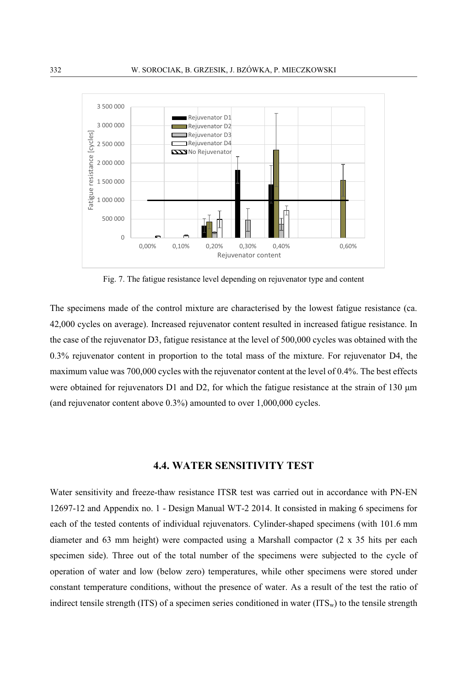

Fig. 7. The fatigue resistance level depending on rejuvenator type and content

The specimens made of the control mixture are characterised by the lowest fatigue resistance (ca. 42,000 cycles on average). Increased rejuvenator content resulted in increased fatigue resistance. In the case of the rejuvenator D3, fatigue resistance at the level of 500,000 cycles was obtained with the 0.3% rejuvenator content in proportion to the total mass of the mixture. For rejuvenator D4, the maximum value was 700,000 cycles with the rejuvenator content at the level of 0.4%. The best effects were obtained for rejuvenators D1 and D2, for which the fatigue resistance at the strain of 130 μm (and rejuvenator content above 0.3%) amounted to over 1,000,000 cycles.

## **4.4. WATER SENSITIVITY TEST**

Water sensitivity and freeze-thaw resistance ITSR test was carried out in accordance with PN-EN 12697-12 and Appendix no. 1 - Design Manual WT-2 2014. It consisted in making 6 specimens for each of the tested contents of individual rejuvenators. Cylinder-shaped specimens (with 101.6 mm diameter and 63 mm height) were compacted using a Marshall compactor (2 x 35 hits per each specimen side). Three out of the total number of the specimens were subjected to the cycle of operation of water and low (below zero) temperatures, while other specimens were stored under constant temperature conditions, without the presence of water. As a result of the test the ratio of indirect tensile strength (ITS) of a specimen series conditioned in water (ITS<sub>w</sub>) to the tensile strength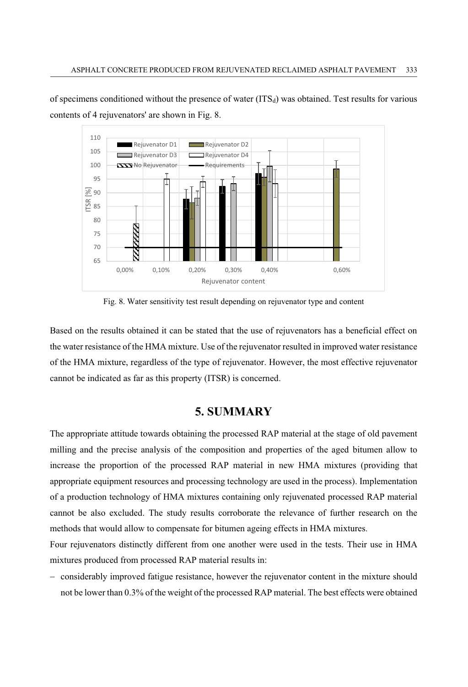of specimens conditioned without the presence of water  $(ITS_d)$  was obtained. Test results for various contents of 4 rejuvenators' are shown in Fig. 8.



Fig. 8. Water sensitivity test result depending on rejuvenator type and content

Based on the results obtained it can be stated that the use of rejuvenators has a beneficial effect on the water resistance of the HMA mixture. Use of the rejuvenator resulted in improved water resistance of the HMA mixture, regardless of the type of rejuvenator. However, the most effective rejuvenator cannot be indicated as far as this property (ITSR) is concerned.

# **5. SUMMARY**

The appropriate attitude towards obtaining the processed RAP material at the stage of old pavement milling and the precise analysis of the composition and properties of the aged bitumen allow to increase the proportion of the processed RAP material in new HMA mixtures (providing that appropriate equipment resources and processing technology are used in the process). Implementation of a production technology of HMA mixtures containing only rejuvenated processed RAP material cannot be also excluded. The study results corroborate the relevance of further research on the methods that would allow to compensate for bitumen ageing effects in HMA mixtures.

Four rejuvenators distinctly different from one another were used in the tests. Their use in HMA mixtures produced from processed RAP material results in:

- considerably improved fatigue resistance, however the rejuvenator content in the mixture should not be lower than 0.3% of the weight of the processed RAP material. The best effects were obtained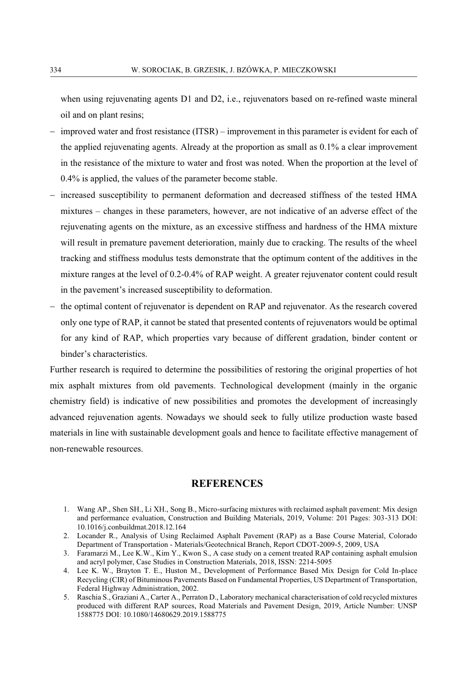when using rejuvenating agents D1 and D2, i.e., rejuvenators based on re-refined waste mineral oil and on plant resins;

- improved water and frost resistance (ITSR) improvement in this parameter is evident for each of the applied rejuvenating agents. Already at the proportion as small as 0.1% a clear improvement in the resistance of the mixture to water and frost was noted. When the proportion at the level of 0.4% is applied, the values of the parameter become stable.
- increased susceptibility to permanent deformation and decreased stiffness of the tested HMA mixtures – changes in these parameters, however, are not indicative of an adverse effect of the rejuvenating agents on the mixture, as an excessive stiffness and hardness of the HMA mixture will result in premature pavement deterioration, mainly due to cracking. The results of the wheel tracking and stiffness modulus tests demonstrate that the optimum content of the additives in the mixture ranges at the level of 0.2-0.4% of RAP weight. A greater rejuvenator content could result in the pavement's increased susceptibility to deformation.
- the optimal content of rejuvenator is dependent on RAP and rejuvenator. As the research covered only one type of RAP, it cannot be stated that presented contents of rejuvenators would be optimal for any kind of RAP, which properties vary because of different gradation, binder content or binder's characteristics.

Further research is required to determine the possibilities of restoring the original properties of hot mix asphalt mixtures from old pavements. Technological development (mainly in the organic chemistry field) is indicative of new possibilities and promotes the development of increasingly advanced rejuvenation agents. Nowadays we should seek to fully utilize production waste based materials in line with sustainable development goals and hence to facilitate effective management of non-renewable resources.

#### **REFERENCES**

- 1. Wang AP., Shen SH., Li XH., Song B., Micro-surfacing mixtures with reclaimed asphalt pavement: Mix design and performance evaluation, Construction and Building Materials, 2019, Volume: 201 Pages: 303-313 DOI: 10.1016/j.conbuildmat.2018.12.164
- 2. Locander R., Analysis of Using Reclaimed Asphalt Pavement (RAP) as a Base Course Material, Colorado Department of Transportation - Materials/Geotechnical Branch, Report CDOT-2009-5, 2009, USA
- 3. Faramarzi M., Lee K.W., Kim Y., Kwon S., A case study on a cement treated RAP containing asphalt emulsion and acryl polymer, Case Studies in Construction Materials, 2018, ISSN: 2214-5095
- 4. Lee K. W., Brayton T. E., Huston M., Development of Performance Based Mix Design for Cold In-place Recycling (CIR) of Bituminous Pavements Based on Fundamental Properties, US Department of Transportation, Federal Highway Administration, 2002.
- 5. Raschia S., Graziani A., Carter A., Perraton D., Laboratory mechanical characterisation of cold recycled mixtures produced with different RAP sources, Road Materials and Pavement Design, 2019, Article Number: UNSP 1588775 DOI: 10.1080/14680629.2019.1588775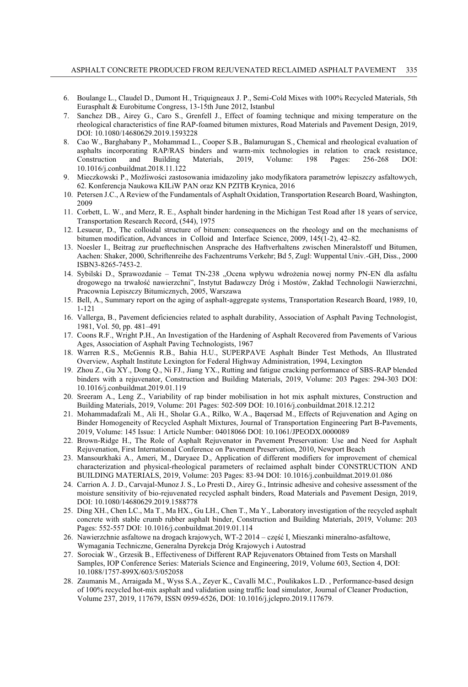- 6. Boulange L., Claudel D., Dumont H., Triquigneaux J. P., Semi-Cold Mixes with 100% Recycled Materials, 5th Eurasphalt & Eurobitume Congress, 13-15th June 2012, Istanbul
- 7. Sanchez DB., Airey G., Caro S., Grenfell J., Effect of foaming technique and mixing temperature on the rheological characteristics of fine RAP-foamed bitumen mixtures, Road Materials and Pavement Design, 2019, DOI: 10.1080/14680629.2019.1593228
- 8. Cao W., Barghabany P., Mohammad L., Cooper S.B., Balamurugan S., Chemical and rheological evaluation of asphalts incorporating RAP/RAS binders and warm-mix technologies in relation to crack resistance,<br>
Construction and Building Materials, 2019, Volume: 198 Pages: 256-268 DOI: Construction and Building Materials, 2019, Volume: 198 Pages: 256-268 DOI: 10.1016/j.conbuildmat.2018.11.122
- 9. Mieczkowski P., Możliwości zastosowania imidazoliny jako modyfikatora parametrów lepiszczy asfaltowych, 62. Konferencja Naukowa KILiW PAN oraz KN PZITB Krynica, 2016
- 10. Petersen J.C., A Review of the Fundamentals of Asphalt Oxidation, Transportation Research Board, Washington, 2009
- 11. Corbett, L. W., and Merz, R. E., Asphalt binder hardening in the Michigan Test Road after 18 years of service, Transportation Research Record, (544), 1975
- 12. Lesueur, D., The colloidal structure of bitumen: consequences on the rheology and on the mechanisms of bitumen modification, Advances in Colloid and Interface Science, 2009, 145(1-2), 42–82.
- 13. Noesler I., Beitrag zur prueftechnischen Ansprache des Haftverhaltens zwischen Mineralstoff und Bitumen, Aachen: Shaker, 2000, Schriftenreihe des Fachzentrums Verkehr; Bd 5, Zugl: Wuppental Univ.-GH, Diss., 2000 ISBN3-8265-7453-2.
- 14. Sybilski D., Sprawozdanie Temat TN-238 "Ocena wpływu wdrożenia nowej normy PN-EN dla asfaltu drogowego na trwałość nawierzchni", Instytut Badawczy Dróg i Mostów, Zakład Technologii Nawierzchni, Pracownia Lepiszczy Bitumicznych, 2005, Warszawa
- 15. Bell, A., Summary report on the aging of asphalt-aggregate systems, Transportation Research Board, 1989, 10, 1-121
- 16. Vallerga, B., Pavement deficiencies related to asphalt durability, Association of Asphalt Paving Technologist, 1981, Vol. 50, pp. 481–491
- 17. Coons R.F., Wright P.H., An Investigation of the Hardening of Asphalt Recovered from Pavements of Various Ages, Association of Asphalt Paving Technologists, 1967
- 18. Warren R.S., McGennis R.B., Bahia H.U., SUPERPAVE Asphalt Binder Test Methods, An Illustrated Overview, Asphalt Institute Lexington for Federal Highway Administration, 1994, Lexington
- 19. Zhou Z., Gu XY., Dong Q., Ni FJ., Jiang YX., Rutting and fatigue cracking performance of SBS-RAP blended binders with a rejuvenator, Construction and Building Materials, 2019, Volume: 203 Pages: 294-303 DOI: 10.1016/j.conbuildmat.2019.01.119
- 20. Sreeram A., Leng Z., Variability of rap binder mobilisation in hot mix asphalt mixtures, Construction and Building Materials, 2019, Volume: 201 Pages: 502-509 DOI: 10.1016/j.conbuildmat.2018.12.212
- 21. Mohammadafzali M., Ali H., Sholar G.A., Rilko, W.A., Baqersad M., Effects of Rejuvenation and Aging on Binder Homogeneity of Recycled Asphalt Mixtures, Journal of Transportation Engineering Part B-Pavements, 2019, Volume: 145 Issue: 1 Article Number: 04018066 DOI: 10.1061/JPEODX.0000089
- 22. Brown-Ridge H., The Role of Asphalt Rejuvenator in Pavement Preservation: Use and Need for Asphalt Rejuvenation, First International Conference on Pavement Preservation, 2010, Newport Beach
- 23. Mansourkhaki A., Ameri, M., Daryaee D., Application of different modifiers for improvement of chemical characterization and physical-rheological parameters of reclaimed asphalt binder CONSTRUCTION AND BUILDING MATERIALS, 2019, Volume: 203 Pages: 83-94 DOI: 10.1016/j.conbuildmat.2019.01.086
- 24. Carrion A. J. D., Carvajal-Munoz J. S., Lo Presti D., Airey G., Intrinsic adhesive and cohesive assessment of the moisture sensitivity of bio-rejuvenated recycled asphalt binders, Road Materials and Pavement Design, 2019, DOI: 10.1080/14680629.2019.1588778
- 25. Ding XH., Chen LC., Ma T., Ma HX., Gu LH., Chen T., Ma Y., Laboratory investigation of the recycled asphalt concrete with stable crumb rubber asphalt binder, Construction and Building Materials, 2019, Volume: 203 Pages: 552-557 DOI: 10.1016/j.conbuildmat.2019.01.114
- 26. Nawierzchnie asfaltowe na drogach krajowych, WT-2 2014 część I, Mieszanki mineralno-asfaltowe, Wymagania Techniczne, Generalna Dyrekcja Dróg Krajowych i Autostrad
- 27. Sorociak W., Grzesik B., Effectiveness of Different RAP Rejuvenators Obtained from Tests on Marshall Samples, IOP Conference Series: Materials Science and Engineering, 2019, Volume 603, Section 4, DOI: 10.1088/1757-899X/603/5/052058
- 28. Zaumanis M., Arraigada M., Wyss S.A., Zeyer K., Cavalli M.C., Poulikakos L.D. , Performance-based design of 100% recycled hot-mix asphalt and validation using traffic load simulator, Journal of Cleaner Production, Volume 237, 2019, 117679, ISSN 0959-6526, DOI: 10.1016/j.jclepro.2019.117679.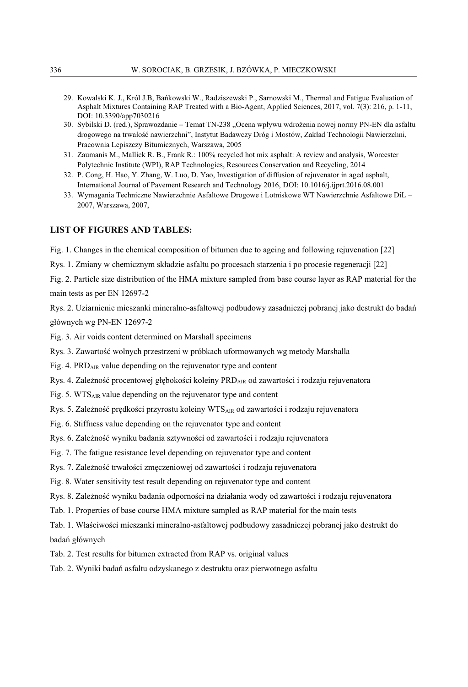- 29. Kowalski K. J., Król J.B, Bańkowski W., Radziszewski P., Sarnowski M., Thermal and Fatigue Evaluation of Asphalt Mixtures Containing RAP Treated with a Bio-Agent, Applied Sciences, 2017, vol. 7(3): 216, p. 1-11, DOI: 10.3390/app7030216
- 30. Sybilski D. (red.), Sprawozdanie Temat TN-238 "Ocena wpływu wdrożenia nowej normy PN-EN dla asfaltu drogowego na trwałość nawierzchni", Instytut Badawczy Dróg i Mostów, Zakład Technologii Nawierzchni, Pracownia Lepiszczy Bitumicznych, Warszawa, 2005
- 31. Zaumanis M., Mallick R. B., Frank R.: 100% recycled hot mix asphalt: A review and analysis, Worcester Polytechnic Institute (WPI), RAP Technologies, Resources Conservation and Recycling, 2014
- 32. P. Cong, H. Hao, Y. Zhang, W. Luo, D. Yao, Investigation of diffusion of rejuvenator in aged asphalt, International Journal of Pavement Research and Technology 2016, DOI: 10.1016/j.ijprt.2016.08.001
- 33. Wymagania Techniczne Nawierzchnie Asfaltowe Drogowe i Lotniskowe WT Nawierzchnie Asfaltowe DiL 2007, Warszawa, 2007,

#### **LIST OF FIGURES AND TABLES:**

Fig. 1. Changes in the chemical composition of bitumen due to ageing and following rejuvenation [22]

Rys. 1. Zmiany w chemicznym składzie asfaltu po procesach starzenia i po procesie regeneracji [22]

Fig. 2. Particle size distribution of the HMA mixture sampled from base course layer as RAP material for the main tests as per EN 12697-2

Rys. 2. Uziarnienie mieszanki mineralno-asfaltowej podbudowy zasadniczej pobranej jako destrukt do badań głównych wg PN-EN 12697-2

Fig. 3. Air voids content determined on Marshall specimens

Rys. 3. Zawartość wolnych przestrzeni w próbkach uformowanych wg metody Marshalla

Fig. 4. PRD<sub>AIR</sub> value depending on the rejuvenator type and content

Rys. 4. Zależność procentowej głębokości koleiny PRDAIR od zawartości i rodzaju rejuvenatora

Fig. 5. WTSAIR value depending on the rejuvenator type and content

Rys. 5. Zależność prędkości przyrostu koleiny WTSAIR od zawartości i rodzaju rejuvenatora

Fig. 6. Stiffness value depending on the rejuvenator type and content

Rys. 6. Zależność wyniku badania sztywności od zawartości i rodzaju rejuvenatora

Fig. 7. The fatigue resistance level depending on rejuvenator type and content

Rys. 7. Zależność trwałości zmęczeniowej od zawartości i rodzaju rejuvenatora

Fig. 8. Water sensitivity test result depending on rejuvenator type and content

Rys. 8. Zależność wyniku badania odporności na działania wody od zawartości i rodzaju rejuvenatora

Tab. 1. Properties of base course HMA mixture sampled as RAP material for the main tests

Tab. 1. Właściwości mieszanki mineralno-asfaltowej podbudowy zasadniczej pobranej jako destrukt do badań głównych

Tab. 2. Test results for bitumen extracted from RAP vs. original values

Tab. 2. Wyniki badań asfaltu odzyskanego z destruktu oraz pierwotnego asfaltu